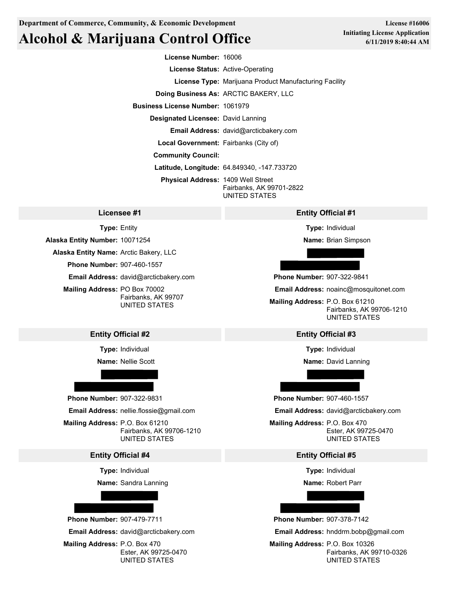# **Alcohol & Marijuana Control Office**

**License Number:** 16006

**License Status:** Active-Operating

**License Type:** Marijuana Product Manufacturing Facility

**Doing Business As:** ARCTIC BAKERY, LLC

**Business License Number:** 1061979

**Designated Licensee:** David Lanning

**Email Address:** david@arcticbakery.com

**Local Government:** Fairbanks (City of)

**Community Council:**

**Latitude, Longitude:** 64.849340, -147.733720

**Physical Address:** 1409 Well Street Fairbanks, AK 99701-2822 UNITED STATES

**Type:** Entity

**Alaska Entity Number:** 10071254

**Alaska Entity Name:** Arctic Bakery, LLC

**Phone Number:** 907-460-1557

**Email Address:** david@arcticbakery.com

**Mailing Address:** PO Box 70002 Fairbanks, AK 99707 UNITED STATES

**Type:** Individual

**Name:** Nellie Scott



**Mailing Address:** P.O. Box 61210 Fairbanks, AK 99706-1210

### **Entity Official #4 Entity Official #5**

**Type:** Individual

**Name:** Sandra Lanning



**Phone Number:** 907-479-7711 **Phone Number:** 907-378-7142

### **Licensee #1 Entity Official #1**

**Type:** Individual

**Name:** Brian Simpson

**Phone Number:** 907-322-9841

**Email Address:** noainc@mosquitonet.com

**Mailing Address:** P.O. Box 61210 Fairbanks, AK 99706-1210 UNITED STATES

### **Entity Official #2 Entity Official #3**

**Type:** Individual

**Name:** David Lanning

**Phone Number:** 907-322-9831 **Phone Number:** 907-460-1557

**Email Address:** nellie.flossie@gmail.com **Email Address:** david@arcticbakery.com

UNITED STATES UNITED STATES **Mailing Address:** P.O. Box 470 Ester, AK 99725-0470

**Type:** Individual

**Name:** Robert Parr

**Email Address:** david@arcticbakery.com **Email Address:** hnddrm.bobp@gmail.com

**Mailing Address:** P.O. Box 470 **Mailing Address:** P.O. Box 10326 Ester, AK 99725-0470 Fairbanks, AK 99710-0326 UNITED STATES UNITED STATES

**License #16006 Initiating License Application 6/11/2019 8:40:44 AM**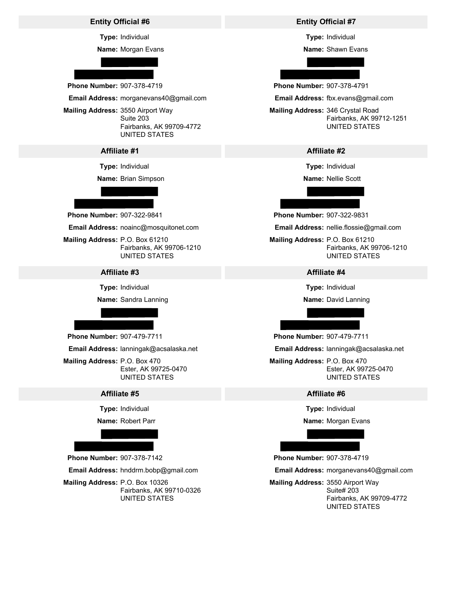### **Entity Official #6 Entity Official #7**

**Type:** Individual

**Name:** Morgan Evans



**Phone Number:** 907-378-4719 **Phone Number:** 907-378-4791

**Email Address:** morganevans40@gmail.com

**Mailing Address:** 3550 Airport Way Suite 203 Fairbanks, AK 99709-4772 UNITED STATES

**Type:** Individual

**Name:** Brian Simpson

**Phone Number:** 907-322-9841 **Phone Number:** 907-322-9831

**Email Address:** noainc@mosquitonet.com

**Mailing Address:** P.O. Box 61210 **Mailing Address:** P.O. Box 61210

### **Affiliate #3 Affiliate #4**

**Type:** Individual

**Name:** Sandra Lanning



**Phone Number:** 907-479-7711 **Phone Number:** 907-479-7711

**Email Address:** lanningak@acsalaska.net

**Mailing Address:** P.O. Box 470 **Mailing Address:** P.O. Box 470

**Type:** Individual

**Name:** Robert Parr



**Phone Number:** 907-378-7142 **Phone Number:** 907-378-4719

**Mailing Address:** P.O. Box 10326 **Mailing Address:** 3550 Airport Way Fairbanks, AK 99710-0326

**Type:** Individual

**Name:** Shawn Evans

**Email Address:** fbx.evans@gmail.com

**Mailing Address:** 346 Crystal Road Fairbanks, AK 99712-1251 UNITED STATES

### **Affiliate #1 Affiliate #2**

**Type:** Individual

**Name:** Nellie Scott

**Email Address:** nellie.flossie@gmail.com

Fairbanks, AK 99706-1210 Fairbanks, AK 99706-1210 UNITED STATES UNITED STATES

**Type:** Individual

**Name:** David Lanning

**Email Address:** lanningak@acsalaska.net

Ester, AK 99725-0470 Ester, AK 99725-0470 UNITED STATES UNITED STATES

### **Affiliate #5 Affiliate #6**

**Type:** Individual

**Name:** Morgan Evans

**Email Address:** hnddrm.bobp@gmail.com **Email Address:** morganevans40@gmail.com

UNITED STATES Fairbanks, AK 99709-4772 Suite# 203 UNITED STATES